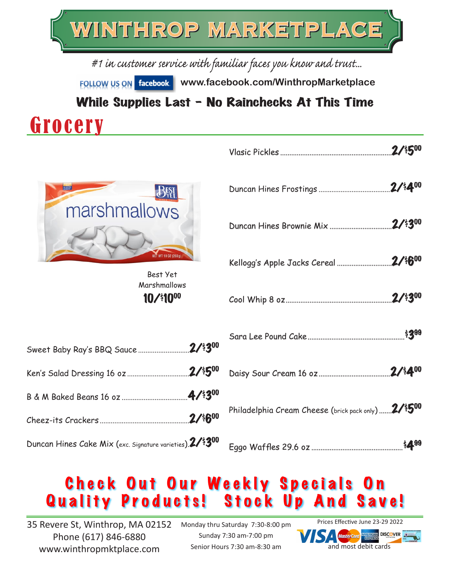

#1 in customer service with familiar faces you know and trust...

**FOLLOW US ON facebook.** www.facebook.com/WinthropMarketplace

While Supplies Last - No Rainchecks At This Time

## Grocery

| $R_{SI}$             |
|----------------------|
| marshmallows         |
| NET WT 10 0Z (283 g) |

10/\$1000 Best Yet Marshmallows

| Duncan Hines Cake Mix (exc. Signature varieties). 2/\$300 |  |
|-----------------------------------------------------------|--|

| Philadelphia Cream Cheese (brick pack only) 2/\$500 |  |
|-----------------------------------------------------|--|
|                                                     |  |

Eggo Waffles 29.6 oz ..................................................\$499

Vlasic Pickles .............................................................2/\$500

Duncan Hines Frostings .......................................2/\$400

Duncan Hines Brownie Mix ..................................2/\$300

### Check Out Our Weekly Specials On Quality Products! Stock Up And Save!

35 Revere St, Winthrop, MA 02152 Phone (617) 846-6880 www.winthropmktplace.com

Monday thru Saturday 7:30-8:00 pm Sunday 7:30 am-7:00 pm Senior Hours 7:30 am-8:30 am